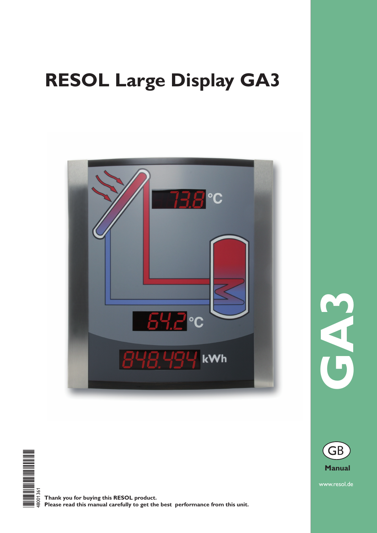## **RESOL Large Display GA3**





**Thank you for buying this RESOL product. Please read this manual carefully to get the best performance from this unit.** **GA3** 



www.resol.de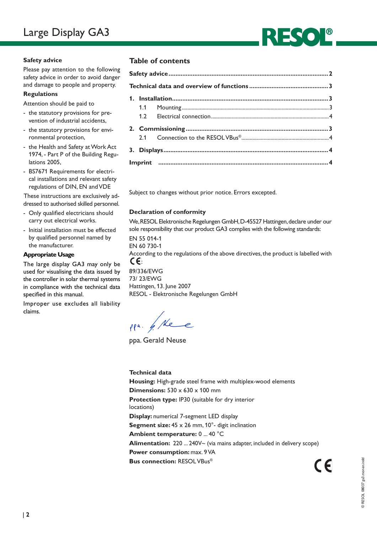

## **Safety advice**

Please pay attention to the following safety advice in order to avoid danger and damage to people and property.

## **Regulations**

Attention should be paid to

- the statutory provisions for prevention of industrial accidents,
- the statutory provisions for environmental protection,
- the Health and Safety at Work Act 1974, - Part P of the Building Regulations 2005,
- BS7671 Requirements for electrical installations and relevant safety regulations of DIN, EN and VDE

These instructions are exclusively addressed to authorised skilled personnel.

- Only qualified electricians should carry out electrical works.
- Initial installation must be effected by qualified personnel named by the manufacturer.

## **Appropriate Usage**

The large display GA3 may only be used for visualising the data issued by the controller in solar thermal systems in compliance with the technical data specified in this manual.

Improper use excludes all liability claims.

## **Table of contents**

Subject to changes without prior notice. Errors excepted.

## **Declaration of conformity**

We, RESOL Elektronische Regelungen GmbH, D-45527 Hattingen, declare under our sole responsibility that our product GA3 complies with the following standards:

EN 55 014-1 EN 60 730-1 According to the regulations of the above directives, the product is labelled with C€:

89/336/EWG 73/ 23/EWG Hattingen, 13. June 2007 RESOL - Elektronische Regelungen GmbH

ppa. / Nee

ppa. Gerald Neuse

## **Technical data**

**Housing:** High-grade steel frame with multiplex-wood elements **Dimensions:** 530 x 630 x 100 mm **Protection type:** IP30 (suitable for dry interior locations) **Display:** numerical 7-segment LED display **Segment size:** 45 x 26 mm, 10°- digit inclination **Ambient temperature:** 0 ... 40 °C **Alimentation:** 220 ... 240V~ (via mains adapter, included in delivery scope) **Power consumption:** max. 9 VA **Bus connection:** RESOL VBus®  $\epsilon$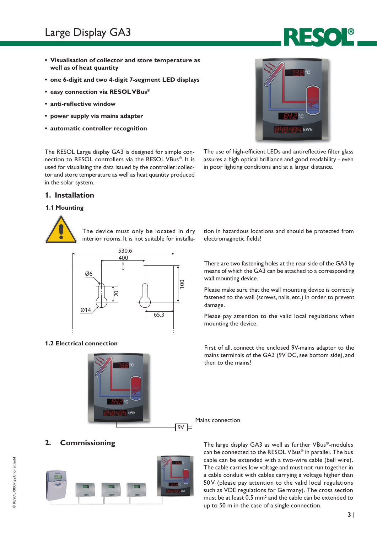## Large Display GA3

- **• Visualisation of collector and store temperature as well as of heat quantity**
- **• one 6-digit and two 4-digit 7-segment LED displays**
- **• easy connection via RESOLVBus®**
- **• anti-reflective window**
- **• power supply via mains adapter**
- **• automatic controller recognition**



The use of high-efficient LEDs and antireflective filter glass assures a high optical brilliance and good readability - even in poor lighting conditions and at a larger distance.

The RESOL Large display GA3 is designed for simple connection to RESOL controllers via the RESOL VBus®. It is used for visualising the data issued by the controller: collector and store temperature as well as heat quantity produced in the solar system.

## **1. Installation**

## **1.1 Mounting**



The device must only be located in dry interior rooms. It is not suitable for installa-





tion in hazardous locations and should be protected from electromagnetic fields!

There are two fastening holes at the rear side of the GA3 by means of which the GA3 can be attached to a corresponding wall mounting device.

Please make sure that the wall mounting device is correctly fastened to the wall (screws, nails, etc.) in order to prevent damage.

Please pay attention to the valid local regulations when mounting the device.

**1.2 Electrical connection**<br>First of all, connect the enclosed 9V-mains adapter to the mains terminals of the GA3 (9V DC, see bottom side), and then to the mains!

Mains connection



**2. Commissioning** The large display GA3 as well as further VBus®-modules can be connected to the RESOL VBus® in parallel. The bus cable can be extended with a two-wire cable (bell wire). The cable carries low voltage and must not run together in a cable conduit with cables carrying a voltage higher than 50V (please pay attention to the valid local regulations such as VDE regulations for Germany). The cross section must be at least 0,5 mm<sup>2</sup> and the cable can be extended to up to 50 m in the case of a single connection.

# © RESOL 08037 ga3.monen.indd © RESOL 08037 ga3.monen.indd